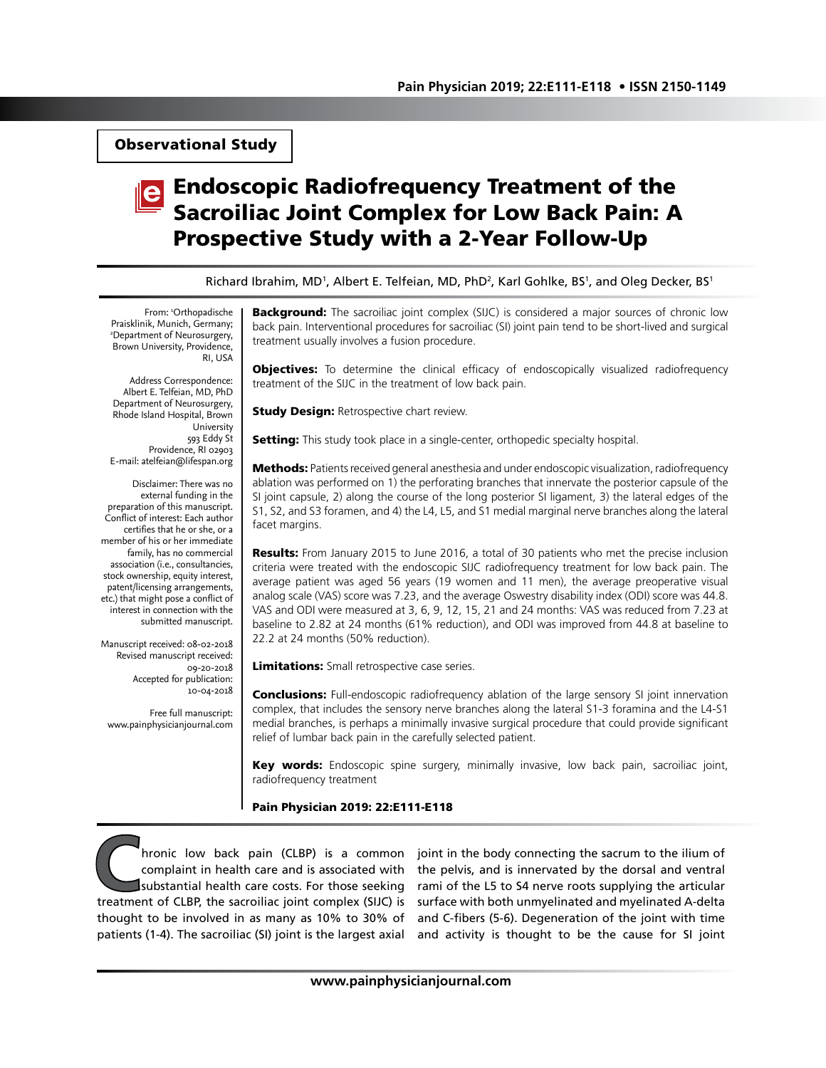Observational Study

# Endoscopic Radiofrequency Treatment of the Sacroiliac Joint Complex for Low Back Pain: A Prospective Study with a 2-Year Follow-Up

Richard Ibrahim, MD<sup>1</sup>, Albert E. Telfeian, MD, PhD<sup>2</sup>, Karl Gohlke, BS<sup>1</sup>, and Oleg Decker, BS<sup>1</sup>

From: 1 Orthopadische Praisklinik, Munich, Germany; 2 Department of Neurosurgery, Brown University, Providence, RI, USA

Address Correspondence: Albert E. Telfeian, MD, PhD Department of Neurosurgery, Rhode Island Hospital, Brown University 593 Eddy St Providence, RI 02903 E-mail: atelfeian@lifespan.org

Disclaimer: There was no external funding in the preparation of this manuscript. Conflict of interest: Each author certifies that he or she, or a member of his or her immediate family, has no commercial association (i.e., consultancies, stock ownership, equity interest, patent/licensing arrangements, etc.) that might pose a conflict of interest in connection with the submitted manuscript.

Manuscript received: 08-02-2018 Revised manuscript received: 09-20-2018 Accepted for publication: 10-04-2018

Free full manuscript: www.painphysicianjournal.com **Background:** The sacroiliac joint complex (SIJC) is considered a major sources of chronic low back pain. Interventional procedures for sacroiliac (SI) joint pain tend to be short-lived and surgical treatment usually involves a fusion procedure.

**Objectives:** To determine the clinical efficacy of endoscopically visualized radiofrequency treatment of the SIJC in the treatment of low back pain.

**Study Design: Retrospective chart review.** 

Setting: This study took place in a single-center, orthopedic specialty hospital.

Methods: Patients received general anesthesia and under endoscopic visualization, radiofrequency ablation was performed on 1) the perforating branches that innervate the posterior capsule of the SI joint capsule, 2) along the course of the long posterior SI ligament, 3) the lateral edges of the S1, S2, and S3 foramen, and 4) the L4, L5, and S1 medial marginal nerve branches along the lateral facet margins.

Results: From January 2015 to June 2016, a total of 30 patients who met the precise inclusion criteria were treated with the endoscopic SIJC radiofrequency treatment for low back pain. The average patient was aged 56 years (19 women and 11 men), the average preoperative visual analog scale (VAS) score was 7.23, and the average Oswestry disability index (ODI) score was 44.8. VAS and ODI were measured at 3, 6, 9, 12, 15, 21 and 24 months: VAS was reduced from 7.23 at baseline to 2.82 at 24 months (61% reduction), and ODI was improved from 44.8 at baseline to 22.2 at 24 months (50% reduction).

Limitations: Small retrospective case series.

**Conclusions:** Full-endoscopic radiofrequency ablation of the large sensory SI joint innervation complex, that includes the sensory nerve branches along the lateral S1-3 foramina and the L4-S1 medial branches, is perhaps a minimally invasive surgical procedure that could provide significant relief of lumbar back pain in the carefully selected patient.

Key words: Endoscopic spine surgery, minimally invasive, low back pain, sacroiliac joint, radiofrequency treatment

Pain Physician 2019: 22:E111-E118

hronic low back pain (CLBP) is a common complaint in health care and is associated with substantial health care costs. For those seeking treatment of CLBP, the sacroiliac joint complex (SIJC) is thought to be involved in as many as 10% to 30% of patients (1-4). The sacroiliac (SI) joint is the largest axial

joint in the body connecting the sacrum to the ilium of the pelvis, and is innervated by the dorsal and ventral rami of the L5 to S4 nerve roots supplying the articular surface with both unmyelinated and myelinated A-delta and C-fibers (5-6). Degeneration of the joint with time and activity is thought to be the cause for SI joint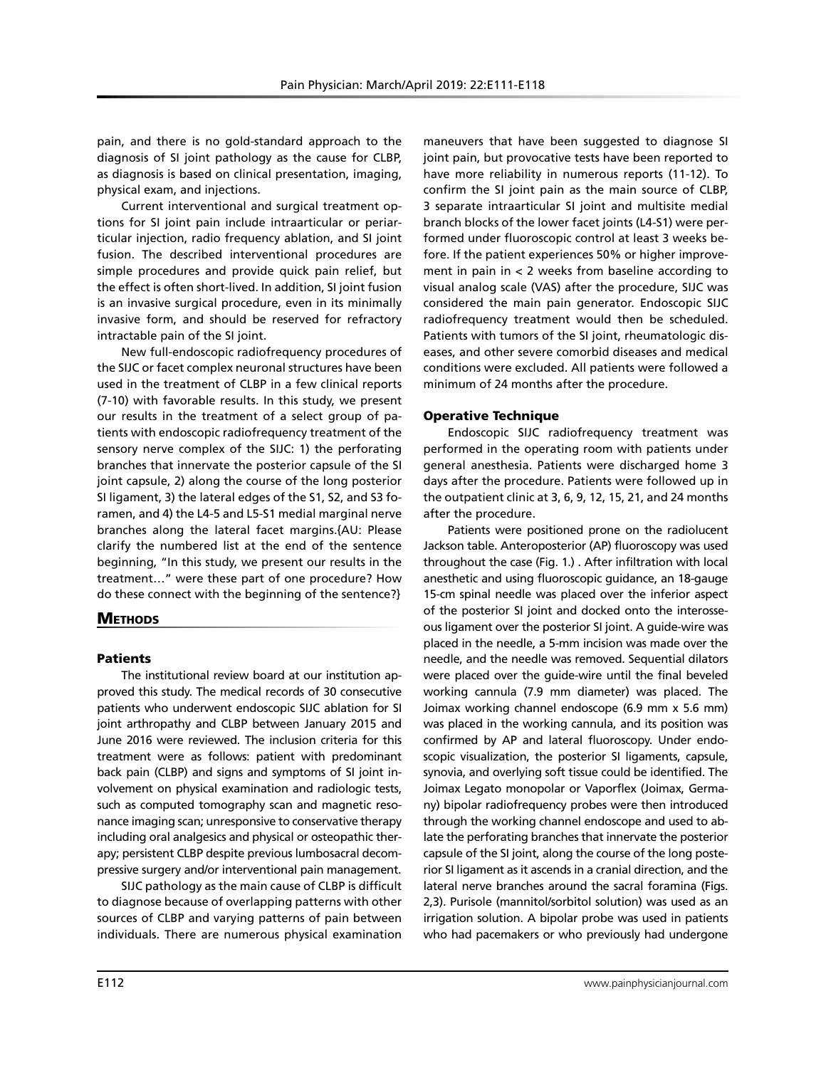pain, and there is no gold-standard approach to the diagnosis of SI joint pathology as the cause for CLBP, as diagnosis is based on clinical presentation, imaging, physical exam, and injections.

Current interventional and surgical treatment options for SI joint pain include intraarticular or periarticular injection, radio frequency ablation, and SI joint fusion. The described interventional procedures are simple procedures and provide quick pain relief, but the effect is often short-lived. In addition, SI joint fusion is an invasive surgical procedure, even in its minimally invasive form, and should be reserved for refractory intractable pain of the SI joint.

New full-endoscopic radiofrequency procedures of the SIJC or facet complex neuronal structures have been used in the treatment of CLBP in a few clinical reports (7-10) with favorable results. In this study, we present our results in the treatment of a select group of patients with endoscopic radiofrequency treatment of the sensory nerve complex of the SIJC: 1) the perforating branches that innervate the posterior capsule of the SI joint capsule, 2) along the course of the long posterior SI ligament, 3) the lateral edges of the S1, S2, and S3 foramen, and 4) the L4-5 and L5-S1 medial marginal nerve branches along the lateral facet margins.{AU: Please clarify the numbered list at the end of the sentence beginning, "In this study, we present our results in the treatment…" were these part of one procedure? How do these connect with the beginning of the sentence?}

# **METHODS**

## **Patients**

The institutional review board at our institution approved this study. The medical records of 30 consecutive patients who underwent endoscopic SIJC ablation for SI joint arthropathy and CLBP between January 2015 and June 2016 were reviewed. The inclusion criteria for this treatment were as follows: patient with predominant back pain (CLBP) and signs and symptoms of SI joint involvement on physical examination and radiologic tests, such as computed tomography scan and magnetic resonance imaging scan; unresponsive to conservative therapy including oral analgesics and physical or osteopathic therapy; persistent CLBP despite previous lumbosacral decompressive surgery and/or interventional pain management.

SIJC pathology as the main cause of CLBP is difficult to diagnose because of overlapping patterns with other sources of CLBP and varying patterns of pain between individuals. There are numerous physical examination

maneuvers that have been suggested to diagnose SI joint pain, but provocative tests have been reported to have more reliability in numerous reports (11-12). To confirm the SI joint pain as the main source of CLBP, 3 separate intraarticular SI joint and multisite medial branch blocks of the lower facet joints (L4-S1) were performed under fluoroscopic control at least 3 weeks before. If the patient experiences 50% or higher improvement in pain in < 2 weeks from baseline according to visual analog scale (VAS) after the procedure, SIJC was considered the main pain generator. Endoscopic SIJC radiofrequency treatment would then be scheduled. Patients with tumors of the SI joint, rheumatologic diseases, and other severe comorbid diseases and medical conditions were excluded. All patients were followed a minimum of 24 months after the procedure.

## Operative Technique

Endoscopic SIJC radiofrequency treatment was performed in the operating room with patients under general anesthesia. Patients were discharged home 3 days after the procedure. Patients were followed up in the outpatient clinic at 3, 6, 9, 12, 15, 21, and 24 months after the procedure.

Patients were positioned prone on the radiolucent Jackson table. Anteroposterior (AP) fluoroscopy was used throughout the case (Fig. 1.) . After infiltration with local anesthetic and using fluoroscopic guidance, an 18-gauge 15-cm spinal needle was placed over the inferior aspect of the posterior SI joint and docked onto the interosseous ligament over the posterior SI joint. A guide-wire was placed in the needle, a 5-mm incision was made over the needle, and the needle was removed. Sequential dilators were placed over the guide-wire until the final beveled working cannula (7.9 mm diameter) was placed. The Joimax working channel endoscope (6.9 mm x 5.6 mm) was placed in the working cannula, and its position was confirmed by AP and lateral fluoroscopy. Under endoscopic visualization, the posterior SI ligaments, capsule, synovia, and overlying soft tissue could be identified. The Joimax Legato monopolar or Vaporflex (Joimax, Germany) bipolar radiofrequency probes were then introduced through the working channel endoscope and used to ablate the perforating branches that innervate the posterior capsule of the SI joint, along the course of the long posterior SI ligament as it ascends in a cranial direction, and the lateral nerve branches around the sacral foramina (Figs. 2,3). Purisole (mannitol/sorbitol solution) was used as an irrigation solution. A bipolar probe was used in patients who had pacemakers or who previously had undergone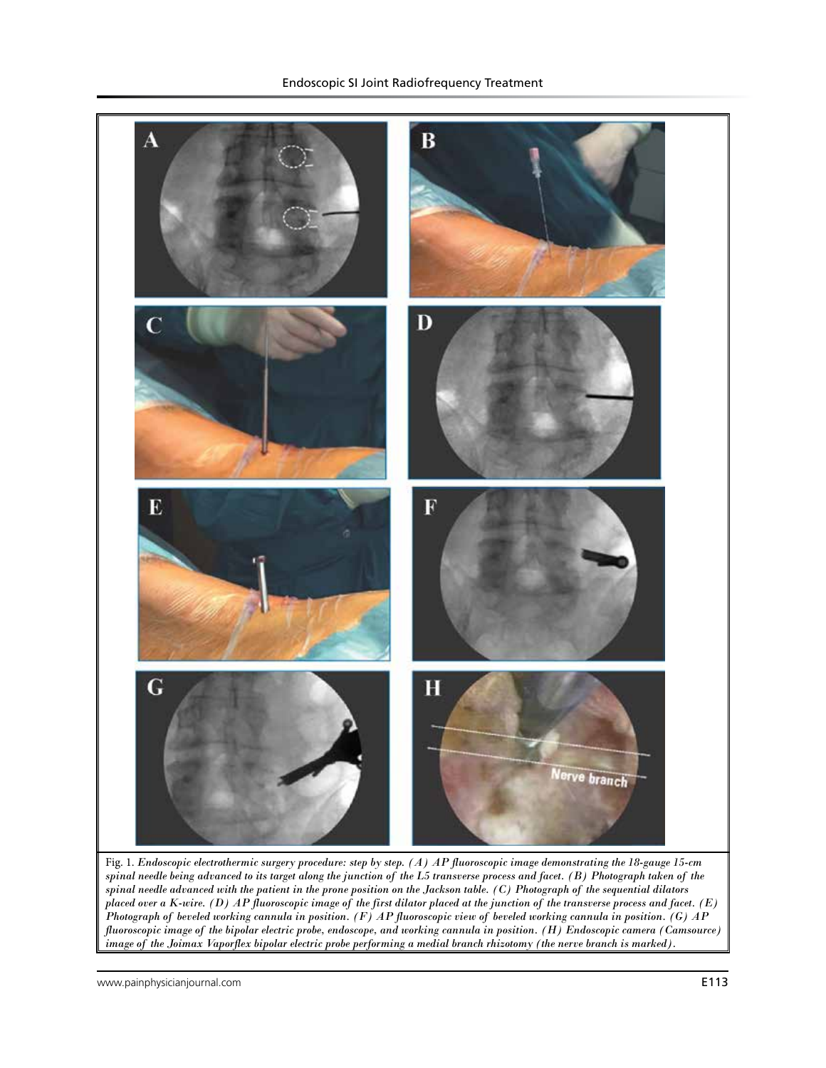

Fig. 1. *Endoscopic electrothermic surgery procedure: step by step. (A) AP fluoroscopic image demonstrating the 18-gauge 15-cm spinal needle being advanced to its target along the junction of the L5 transverse process and facet. (B) Photograph taken of the spinal needle advanced with the patient in the prone position on the Jackson table. (C) Photograph of the sequential dilators placed over a K-wire. (D) AP fluoroscopic image of the first dilator placed at the junction of the transverse process and facet. (E) Photograph of beveled working cannula in position. (F) AP fluoroscopic view of beveled working cannula in position. (G) AP fluoroscopic image of the bipolar electric probe, endoscope, and working cannula in position. (H) Endoscopic camera (Camsource) image of the Joimax Vaporflex bipolar electric probe performing a medial branch rhizotomy (the nerve branch is marked).*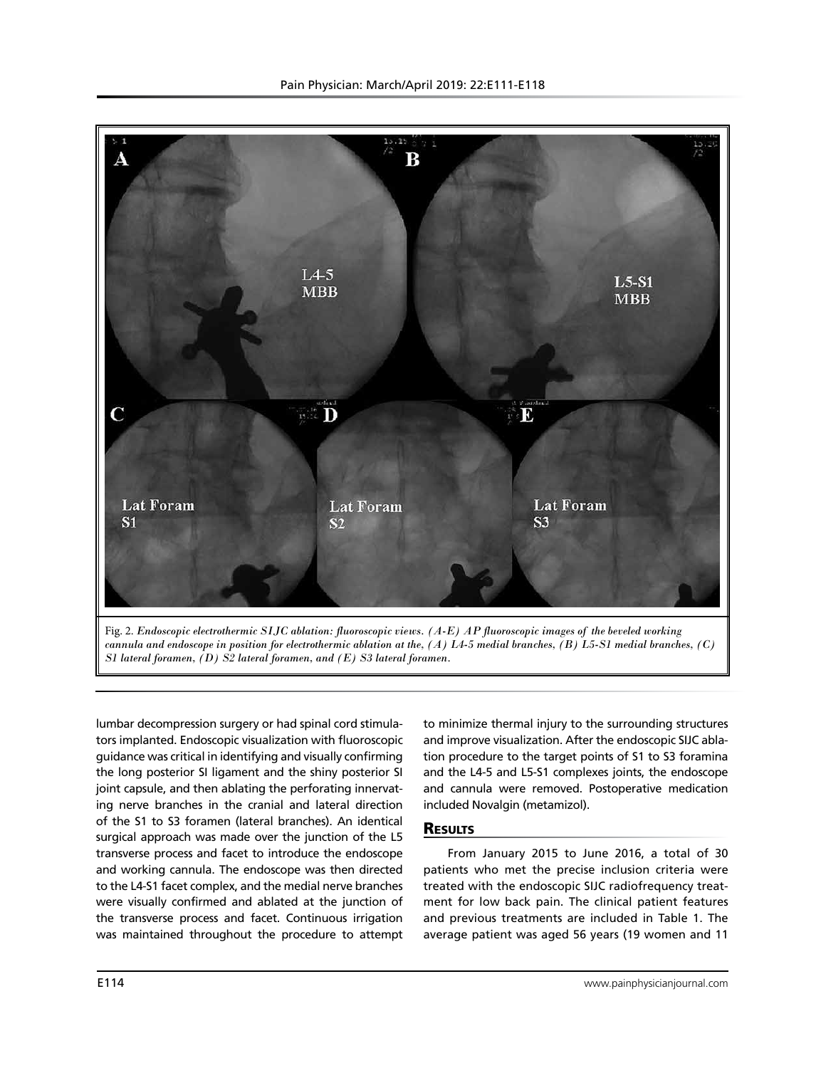



lumbar decompression surgery or had spinal cord stimulators implanted. Endoscopic visualization with fluoroscopic guidance was critical in identifying and visually confirming the long posterior SI ligament and the shiny posterior SI joint capsule, and then ablating the perforating innervating nerve branches in the cranial and lateral direction of the S1 to S3 foramen (lateral branches). An identical surgical approach was made over the junction of the L5 transverse process and facet to introduce the endoscope and working cannula. The endoscope was then directed to the L4-S1 facet complex, and the medial nerve branches were visually confirmed and ablated at the junction of the transverse process and facet. Continuous irrigation was maintained throughout the procedure to attempt to minimize thermal injury to the surrounding structures and improve visualization. After the endoscopic SIJC ablation procedure to the target points of S1 to S3 foramina and the L4-5 and L5-S1 complexes joints, the endoscope and cannula were removed. Postoperative medication included Novalgin (metamizol).

# **RESULTS**

From January 2015 to June 2016, a total of 30 patients who met the precise inclusion criteria were treated with the endoscopic SIJC radiofrequency treatment for low back pain. The clinical patient features and previous treatments are included in Table 1. The average patient was aged 56 years (19 women and 11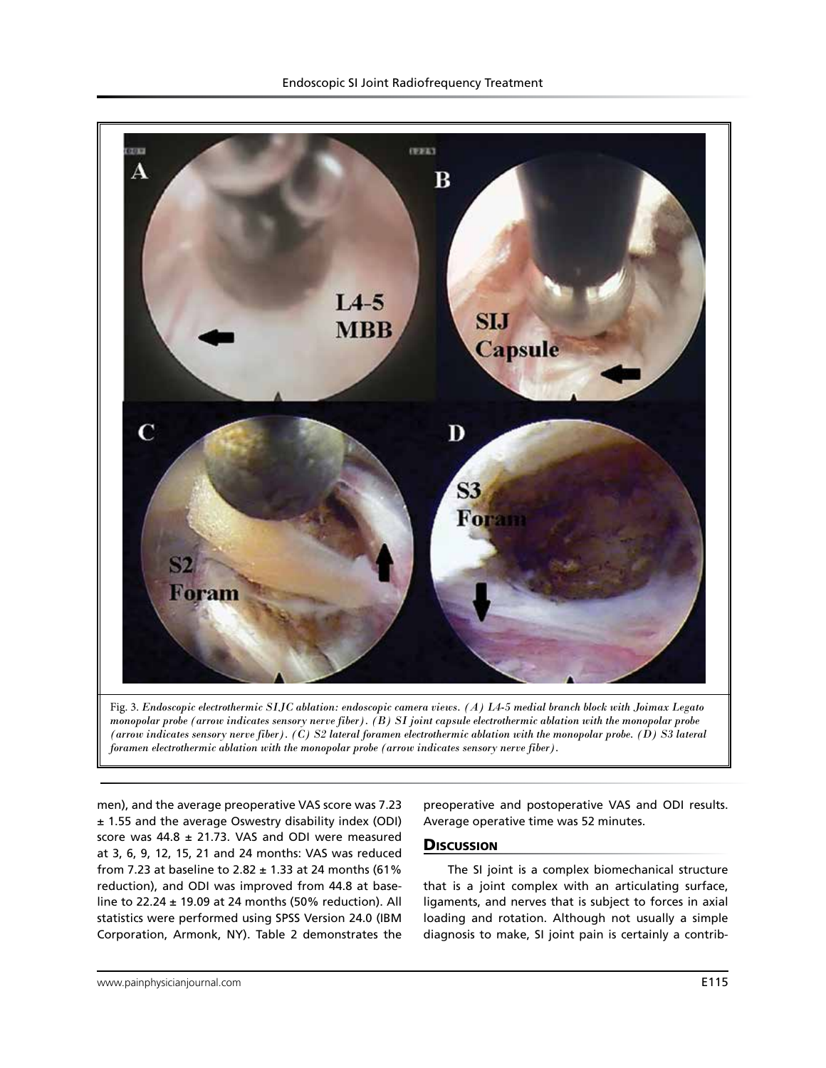

Fig. 3. *Endoscopic electrothermic SIJC ablation: endoscopic camera views. (A) L4-5 medial branch block with Joimax Legato monopolar probe (arrow indicates sensory nerve fiber). (B) SI joint capsule electrothermic ablation with the monopolar probe (arrow indicates sensory nerve fiber). (C) S2 lateral foramen electrothermic ablation with the monopolar probe. (D) S3 lateral foramen electrothermic ablation with the monopolar probe (arrow indicates sensory nerve fiber).*

men), and the average preoperative VAS score was 7.23 ± 1.55 and the average Oswestry disability index (ODI) score was  $44.8 \pm 21.73$ . VAS and ODI were measured at 3, 6, 9, 12, 15, 21 and 24 months: VAS was reduced from 7.23 at baseline to 2.82  $\pm$  1.33 at 24 months (61% reduction), and ODI was improved from 44.8 at baseline to 22.24  $\pm$  19.09 at 24 months (50% reduction). All statistics were performed using SPSS Version 24.0 (IBM Corporation, Armonk, NY). Table 2 demonstrates the preoperative and postoperative VAS and ODI results. Average operative time was 52 minutes.

### **Discussion**

The SI joint is a complex biomechanical structure that is a joint complex with an articulating surface, ligaments, and nerves that is subject to forces in axial loading and rotation. Although not usually a simple diagnosis to make, SI joint pain is certainly a contrib-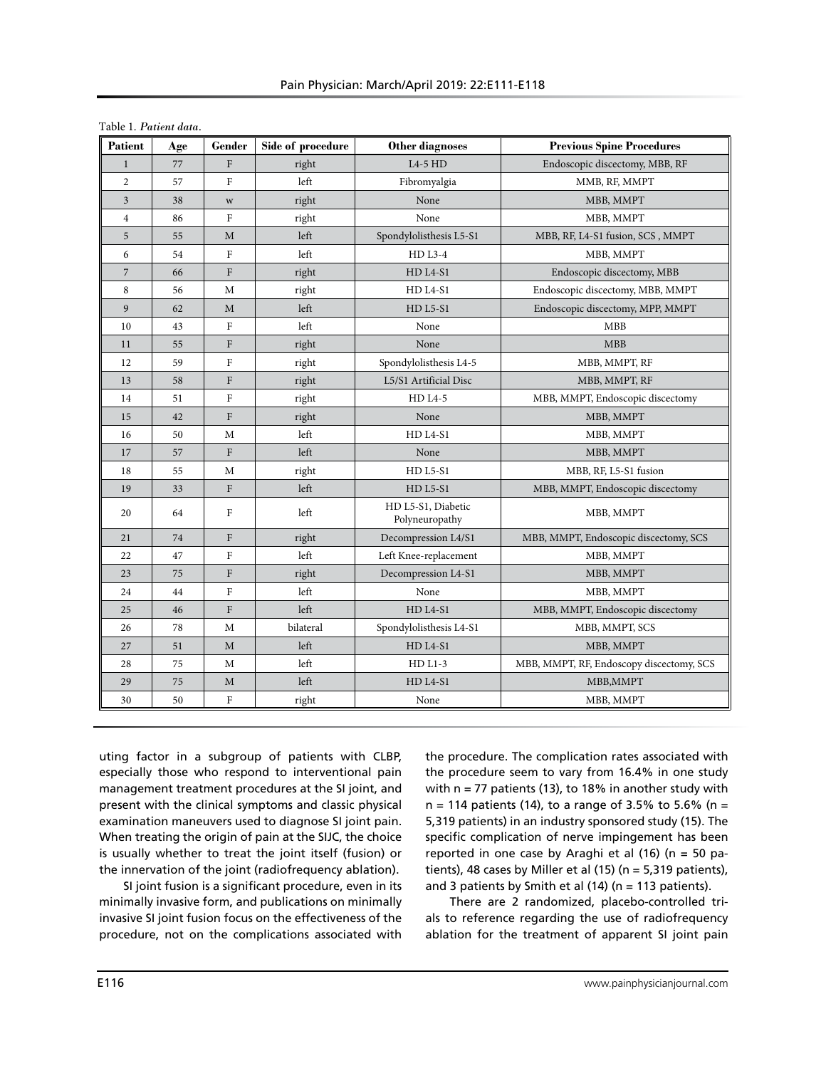| Table 1. Patient data. |     |                                |                   |                                      |                                          |  |  |  |
|------------------------|-----|--------------------------------|-------------------|--------------------------------------|------------------------------------------|--|--|--|
| Patient                | Age | Gender                         | Side of procedure | Other diagnoses                      | <b>Previous Spine Procedures</b>         |  |  |  |
| $\mathbf{1}$           | 77  | $\mathbf F$                    | right             | $L4-5$ HD                            | Endoscopic discectomy, MBB, RF           |  |  |  |
| $\overline{c}$         | 57  | $\overline{F}$                 | left              | Fibromyalgia                         | MMB, RF, MMPT                            |  |  |  |
| $\mathfrak{Z}$         | 38  | $\ensuremath{\text{W}}\xspace$ | right             | None                                 | MBB, MMPT                                |  |  |  |
| $\overline{4}$         | 86  | ${\rm F}$                      | right             | None                                 | MBB, MMPT                                |  |  |  |
| 5                      | 55  | M                              | left              | Spondylolisthesis L5-S1              | MBB, RF, L4-S1 fusion, SCS, MMPT         |  |  |  |
| 6                      | 54  | ${\rm F}$                      | left              | HD L3-4                              | MBB, MMPT                                |  |  |  |
| $\overline{7}$         | 66  | ${\rm F}$                      | right             | HD L4-S1                             | Endoscopic discectomy, MBB               |  |  |  |
| 8                      | 56  | M                              | right             | HD L4-S1                             | Endoscopic discectomy, MBB, MMPT         |  |  |  |
| 9                      | 62  | M                              | left              | <b>HD L5-S1</b>                      | Endoscopic discectomy, MPP, MMPT         |  |  |  |
| 10                     | 43  | ${\bf F}$                      | left              | None                                 | MBB                                      |  |  |  |
| 11                     | 55  | $\mathbf{F}$                   | right             | None                                 | <b>MBB</b>                               |  |  |  |
| 12                     | 59  | $\rm F$                        | right             | Spondylolisthesis L4-5               | MBB, MMPT, RF                            |  |  |  |
| 13                     | 58  | ${\bf F}$                      | right             | L5/S1 Artificial Disc                | MBB, MMPT, RF                            |  |  |  |
| 14                     | 51  | $\mathbf{F}$                   | right             | <b>HD L4-5</b>                       | MBB, MMPT, Endoscopic discectomy         |  |  |  |
| 15                     | 42  | ${\bf F}$                      | right             | None                                 | MBB, MMPT                                |  |  |  |
| 16                     | 50  | M                              | left              | HD L4-S1                             | MBB, MMPT                                |  |  |  |
| 17                     | 57  | $\mathbf F$                    | left              | None                                 | MBB, MMPT                                |  |  |  |
| 18                     | 55  | M                              | right             | HD L5-S1                             | MBB, RF, L5-S1 fusion                    |  |  |  |
| 19                     | 33  | $\Gamma$                       | left              | <b>HD L5-S1</b>                      | MBB, MMPT, Endoscopic discectomy         |  |  |  |
| 20                     | 64  | $\rm F$                        | left              | HD L5-S1, Diabetic<br>Polyneuropathy | MBB, MMPT                                |  |  |  |
| 21                     | 74  | ${\bf F}$                      | right             | Decompression L4/S1                  | MBB, MMPT, Endoscopic discectomy, SCS    |  |  |  |
| 22                     | 47  | $\rm F$                        | left              | Left Knee-replacement                | MBB, MMPT                                |  |  |  |
| 23                     | 75  | ${\bf F}$                      | right             | Decompression L4-S1                  | MBB, MMPT                                |  |  |  |
| 24                     | 44  | $\overline{F}$                 | left              | None                                 | MBB, MMPT                                |  |  |  |
| 25                     | 46  | ${\bf F}$                      | left              | HD L4-S1                             | MBB, MMPT, Endoscopic discectomy         |  |  |  |
| 26                     | 78  | M                              | bilateral         | Spondylolisthesis L4-S1              | MBB, MMPT, SCS                           |  |  |  |
| 27                     | 51  | M                              | left              | HD L4-S1                             | MBB, MMPT                                |  |  |  |
| 28                     | 75  | М                              | left              | $HD L1-3$                            | MBB, MMPT, RF, Endoscopy discectomy, SCS |  |  |  |
| 29                     | 75  | M                              | left              | HD L4-S1                             | MBB, MMPT                                |  |  |  |
| 30                     | 50  | $\rm F$                        | right             | None                                 | MBB, MMPT                                |  |  |  |

uting factor in a subgroup of patients with CLBP, especially those who respond to interventional pain management treatment procedures at the SI joint, and present with the clinical symptoms and classic physical examination maneuvers used to diagnose SI joint pain. When treating the origin of pain at the SIJC, the choice is usually whether to treat the joint itself (fusion) or the innervation of the joint (radiofrequency ablation).

SI joint fusion is a significant procedure, even in its minimally invasive form, and publications on minimally invasive SI joint fusion focus on the effectiveness of the procedure, not on the complications associated with

the procedure. The complication rates associated with the procedure seem to vary from 16.4% in one study with  $n = 77$  patients (13), to 18% in another study with  $n = 114$  patients (14), to a range of 3.5% to 5.6% (n = 5,319 patients) in an industry sponsored study (15). The specific complication of nerve impingement has been reported in one case by Araghi et al (16) (n = 50 patients), 48 cases by Miller et al  $(15)$  (n = 5,319 patients), and 3 patients by Smith et al  $(14)$  (n = 113 patients).

There are 2 randomized, placebo-controlled trials to reference regarding the use of radiofrequency ablation for the treatment of apparent SI joint pain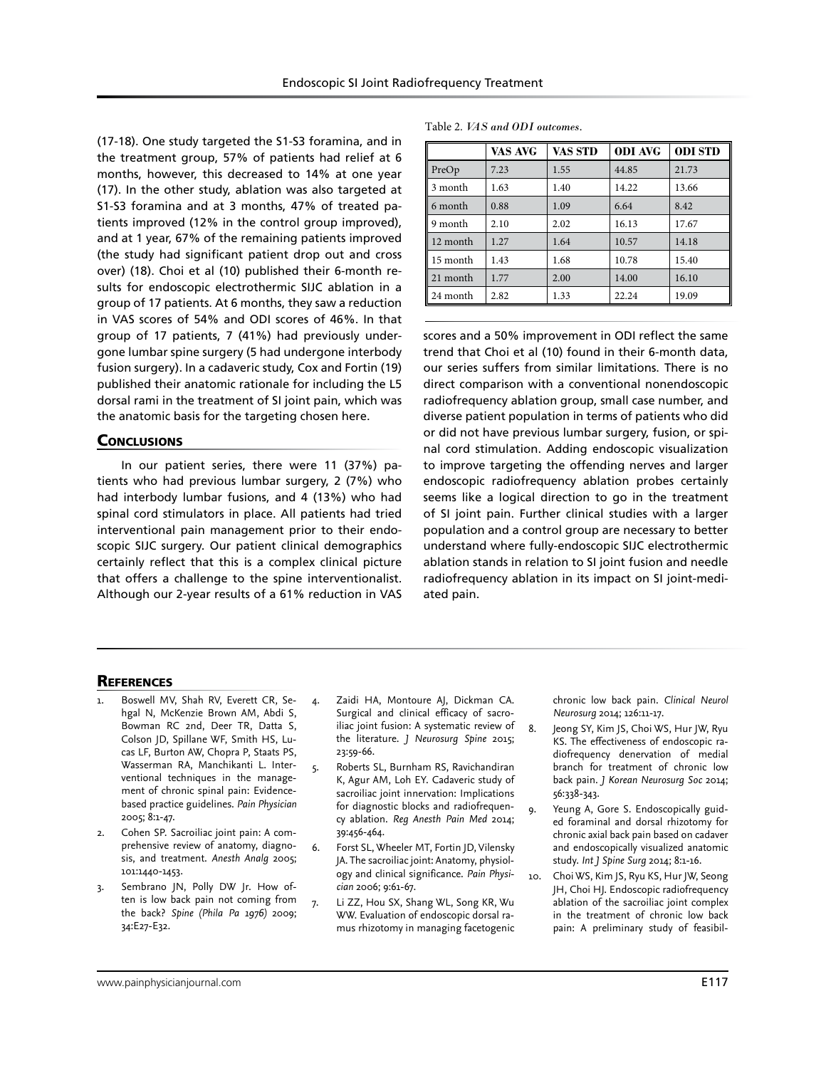(17-18). One study targeted the S1-S3 foramina, and in the treatment group, 57% of patients had relief at 6 months, however, this decreased to 14% at one year (17). In the other study, ablation was also targeted at S1-S3 foramina and at 3 months, 47% of treated patients improved (12% in the control group improved), and at 1 year, 67% of the remaining patients improved (the study had significant patient drop out and cross over) (18). Choi et al (10) published their 6-month results for endoscopic electrothermic SIJC ablation in a group of 17 patients. At 6 months, they saw a reduction in VAS scores of 54% and ODI scores of 46%. In that group of 17 patients, 7 (41%) had previously undergone lumbar spine surgery (5 had undergone interbody fusion surgery). In a cadaveric study, Cox and Fortin (19) published their anatomic rationale for including the L5 dorsal rami in the treatment of SI joint pain, which was the anatomic basis for the targeting chosen here.

### **CONCLUSIONS**

In our patient series, there were 11 (37%) patients who had previous lumbar surgery, 2 (7%) who had interbody lumbar fusions, and 4 (13%) who had spinal cord stimulators in place. All patients had tried interventional pain management prior to their endoscopic SIJC surgery. Our patient clinical demographics certainly reflect that this is a complex clinical picture that offers a challenge to the spine interventionalist. Although our 2-year results of a 61% reduction in VAS

|  |  |  | Table 2. <i>VAS and ODI outcomes</i> . |
|--|--|--|----------------------------------------|
|--|--|--|----------------------------------------|

|          | VAS AVG | VAS STD | <b>ODI AVG</b> | <b>ODI STD</b> |
|----------|---------|---------|----------------|----------------|
| PreOp    | 7.23    | 1.55    | 44.85          | 21.73          |
| 3 month  | 1.63    | 1.40    | 14.22          | 13.66          |
| 6 month  | 0.88    | 1.09    | 6.64           | 8.42           |
| 9 month  | 2.10    | 2.02    | 16.13          | 17.67          |
| 12 month | 1.27    | 1.64    | 10.57          | 14.18          |
| 15 month | 1.43    | 1.68    | 10.78          | 15.40          |
| 21 month | 1.77    | 2.00    | 14.00          | 16.10          |
| 24 month | 2.82    | 1.33    | 22.24          | 19.09          |

scores and a 50% improvement in ODI reflect the same trend that Choi et al (10) found in their 6-month data, our series suffers from similar limitations. There is no direct comparison with a conventional nonendoscopic radiofrequency ablation group, small case number, and diverse patient population in terms of patients who did or did not have previous lumbar surgery, fusion, or spinal cord stimulation. Adding endoscopic visualization to improve targeting the offending nerves and larger endoscopic radiofrequency ablation probes certainly seems like a logical direction to go in the treatment of SI joint pain. Further clinical studies with a larger population and a control group are necessary to better understand where fully-endoscopic SIJC electrothermic ablation stands in relation to SI joint fusion and needle radiofrequency ablation in its impact on SI joint-mediated pain.

### **REFERENCES**

- Boswell MV, Shah RV, Everett CR, Sehgal N, McKenzie Brown AM, Abdi S, Bowman RC 2nd, Deer TR, Datta S, Colson JD, Spillane WF, Smith HS, Lucas LF, Burton AW, Chopra P, Staats PS, Wasserman RA, Manchikanti L. Interventional techniques in the management of chronic spinal pain: Evidencebased practice guidelines. *Pain Physician* 2005; 8:1-47.
- 2. Cohen SP. Sacroiliac joint pain: A comprehensive review of anatomy, diagnosis, and treatment. *Anesth Analg* 2005; 101:1440-1453.
- 3. Sembrano JN, Polly DW Jr. How often is low back pain not coming from the back? *Spine (Phila Pa 1976)* 2009; 34:E27-E32.
- 4. Zaidi HA, Montoure AJ, Dickman CA. Surgical and clinical efficacy of sacroiliac joint fusion: A systematic review of the literature. *J Neurosurg Spine* 2015; 23:59-66.
- 5. Roberts SL, Burnham RS, Ravichandiran K, Agur AM, Loh EY. Cadaveric study of sacroiliac joint innervation: Implications for diagnostic blocks and radiofrequency ablation. *Reg Anesth Pain Med* 2014; 39:456-464.
- 6. Forst SL, Wheeler MT, Fortin JD, Vilensky JA. The sacroiliac joint: Anatomy, physiology and clinical significance. *Pain Physician* 2006; 9:61-67.
- 7. Li ZZ, Hou SX, Shang WL, Song KR, Wu WW. Evaluation of endoscopic dorsal ramus rhizotomy in managing facetogenic

chronic low back pain. *Clinical Neurol Neurosurg* 2014; 126:11-17.

- 8. Jeong SY, Kim JS, Choi WS, Hur JW, Ryu KS. The effectiveness of endoscopic radiofrequency denervation of medial branch for treatment of chronic low back pain. *J Korean Neurosurg Soc* 2014; 56:338-343.
- 9. Yeung A, Gore S. Endoscopically guided foraminal and dorsal rhizotomy for chronic axial back pain based on cadaver and endoscopically visualized anatomic study. *Int J Spine Surg* 2014; 8:1-16.
- 10. Choi WS, Kim JS, Ryu KS, Hur JW, Seong JH, Choi HJ. Endoscopic radiofrequency ablation of the sacroiliac joint complex in the treatment of chronic low back pain: A preliminary study of feasibil-